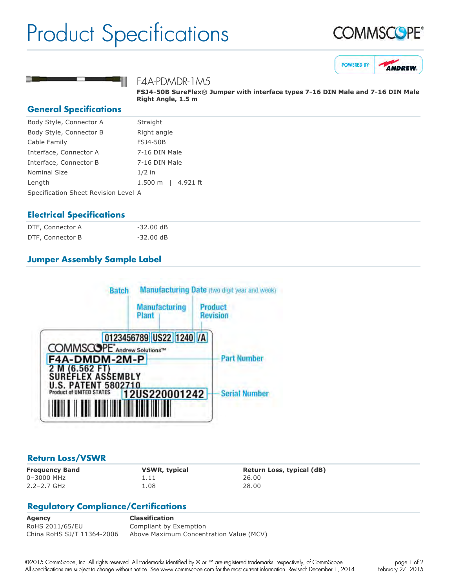## Product Specifications







#### F4A-PDMDR-1M5

**FSJ450B SureFlex® Jumper with interface types 716 DIN Male and 716 DIN Male Right Angle, 1.5 m**

#### **General Specifications**

| Body Style, Connector A              | Straight            |
|--------------------------------------|---------------------|
| Body Style, Connector B              | Right angle         |
| Cable Family                         | <b>FSJ4-50B</b>     |
| Interface, Connector A               | 7-16 DIN Male       |
| Interface, Connector B               | 7-16 DIN Male       |
| <b>Nominal Size</b>                  | $1/2$ in            |
| Length                               | 4.921 ft<br>1.500 m |
| Specification Sheet Revision Level A |                     |
|                                      |                     |

#### **Electrical Specifications**

| DTF, Connector A | -32.00 dB           |
|------------------|---------------------|
| DTF, Connector B | $-32.00 \text{ dB}$ |

### **Jumper Assembly Sample Label**



#### **Return Loss/VSWR**

0–3000 MHz 1.11 26.00 2.2–2.7 GHz 1.08 28.00

**Frequency Band VSWR, typical Return Loss, typical (dB)**

#### **Regulatory Compliance/Certifications**

**Agency Classification** RoHS 2011/65/EU Compliant by Exemption China RoHS SJ/T 11364-2006 Above Maximum Concentration Value (MCV)

©2015 CommScope, Inc. All rights reserved. All trademarks identified by ® or ™ are registered trademarks, respectively, of CommScope. All specifications are subject to change without notice. See www.commscope.com for the most current information. Revised: December 1, 2014